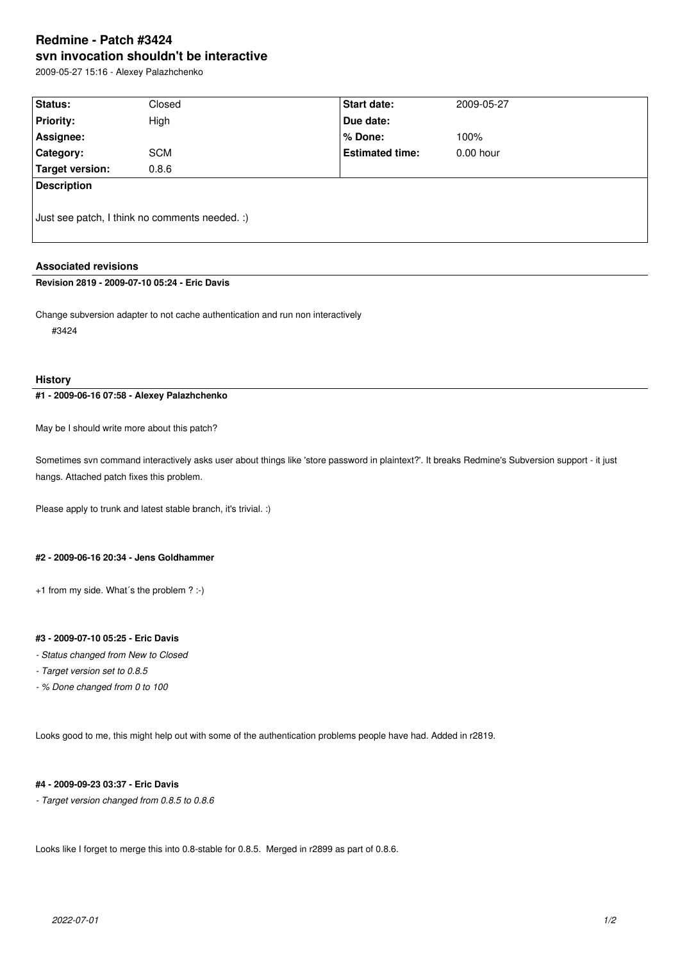# **Redmine - Patch #3424 svn invocation shouldn't be interactive**

2009-05-27 15:16 - Alexey Palazhchenko

| <b>Status:</b>                                 | Closed     | Start date:            | 2009-05-27  |
|------------------------------------------------|------------|------------------------|-------------|
| <b>Priority:</b>                               | High       | Due date:              |             |
| Assignee:                                      |            | % Done:                | 100%        |
| <b>Category:</b>                               | <b>SCM</b> | <b>Estimated time:</b> | $0.00$ hour |
| Target version:                                | 0.8.6      |                        |             |
| <b>Description</b>                             |            |                        |             |
| Just see patch, I think no comments needed. :) |            |                        |             |

# **Associated revisions**

# **Revision 2819 - 2009-07-10 05:24 - Eric Davis**

Change subversion adapter to not cache authentication and run non interactively #3424

#### **History**

**#1 - 2009-06-16 07:58 - Alexey Palazhchenko**

May be I should write more about this patch?

Sometimes svn command interactively asks user about things like 'store password in plaintext?'. It breaks Redmine's Subversion support - it just hangs. Attached patch fixes this problem.

Please apply to trunk and latest stable branch, it's trivial. :)

# **#2 - 2009-06-16 20:34 - Jens Goldhammer**

+1 from my side. What´s the problem ? :-)

### **#3 - 2009-07-10 05:25 - Eric Davis**

- *Status changed from New to Closed*
- *Target version set to 0.8.5*
- *% Done changed from 0 to 100*

Looks good to me, this might help out with some of the authentication problems people have had. Added in r2819.

#### **#4 - 2009-09-23 03:37 - Eric Davis**

*- Target version changed from 0.8.5 to 0.8.6*

Looks like I forget to merge this into 0.8-stable for 0.8.5. Merged in r2899 as part of 0.8.6.